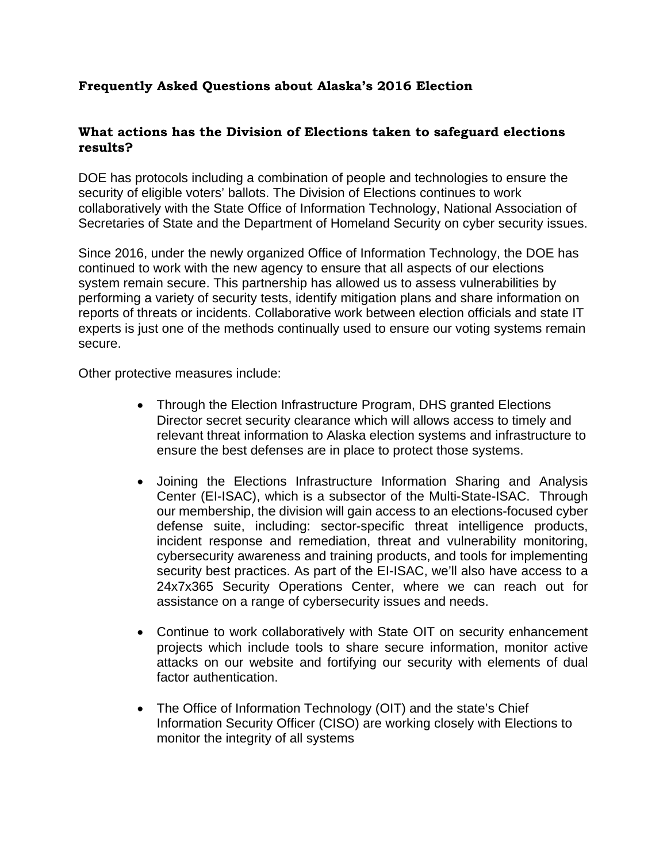# **Frequently Asked Questions about Alaska's 2016 Election**

### **What actions has the Division of Elections taken to safeguard elections results?**

DOE has protocols including a combination of people and technologies to ensure the security of eligible voters' ballots. The Division of Elections continues to work collaboratively with the State Office of Information Technology, National Association of Secretaries of State and the Department of Homeland Security on cyber security issues.

Since 2016, under the newly organized Office of Information Technology, the DOE has continued to work with the new agency to ensure that all aspects of our elections system remain secure. This partnership has allowed us to assess vulnerabilities by performing a variety of security tests, identify mitigation plans and share information on reports of threats or incidents. Collaborative work between election officials and state IT experts is just one of the methods continually used to ensure our voting systems remain secure.

Other protective measures include:

- Through the Election Infrastructure Program, DHS granted Elections Director secret security clearance which will allows access to timely and relevant threat information to Alaska election systems and infrastructure to ensure the best defenses are in place to protect those systems.
- Joining the Elections Infrastructure Information Sharing and Analysis Center (EI-ISAC), which is a subsector of the Multi-State-ISAC. Through our membership, the division will gain access to an elections-focused cyber defense suite, including: sector-specific threat intelligence products, incident response and remediation, threat and vulnerability monitoring, cybersecurity awareness and training products, and tools for implementing security best practices. As part of the EI-ISAC, we'll also have access to a 24x7x365 Security Operations Center, where we can reach out for assistance on a range of cybersecurity issues and needs.
- Continue to work collaboratively with State OIT on security enhancement projects which include tools to share secure information, monitor active attacks on our website and fortifying our security with elements of dual factor authentication.
- The Office of Information Technology (OIT) and the state's Chief Information Security Officer (CISO) are working closely with Elections to monitor the integrity of all systems